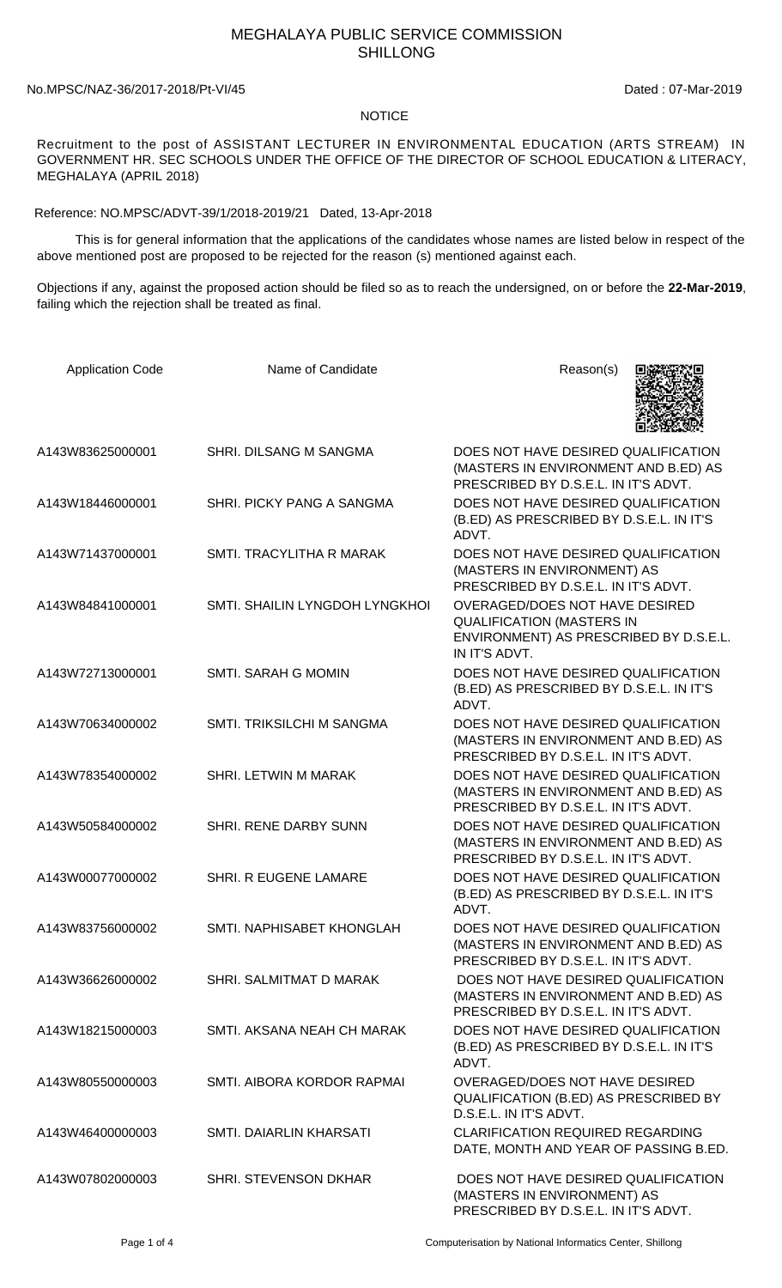## MEGHALAYA PUBLIC SERVICE COMMISSION SHILLONG

## No.MPSC/NAZ-36/2017-2018/Pt-VI/45 Dated : 07-Mar-2019

## NOTICE

Recruitment to the post of ASSISTANT LECTURER IN ENVIRONMENTAL EDUCATION (ARTS STREAM) IN GOVERNMENT HR. SEC SCHOOLS UNDER THE OFFICE OF THE DIRECTOR OF SCHOOL EDUCATION & LITERACY, MEGHALAYA (APRIL 2018)

Reference: NO.MPSC/ADVT-39/1/2018-2019/21 Dated, 13-Apr-2018

 This is for general information that the applications of the candidates whose names are listed below in respect of the above mentioned post are proposed to be rejected for the reason (s) mentioned against each.

Objections if any, against the proposed action should be filed so as to reach the undersigned, on or before the **22-Mar-2019**, failing which the rejection shall be treated as final.

| <b>Application Code</b> | Name of Candidate                | Reason(s)                                                                                                                     |
|-------------------------|----------------------------------|-------------------------------------------------------------------------------------------------------------------------------|
| A143W83625000001        | SHRI. DILSANG M SANGMA           | DOES NOT HAVE DESIRED QUALIFICATION<br>(MASTERS IN ENVIRONMENT AND B.ED) AS<br>PRESCRIBED BY D.S.E.L. IN IT'S ADVT.           |
| A143W18446000001        | SHRI. PICKY PANG A SANGMA        | DOES NOT HAVE DESIRED QUALIFICATION<br>(B.ED) AS PRESCRIBED BY D.S.E.L. IN IT'S<br>ADVT.                                      |
| A143W71437000001        | SMTI. TRACYLITHA R MARAK         | DOES NOT HAVE DESIRED QUALIFICATION<br>(MASTERS IN ENVIRONMENT) AS<br>PRESCRIBED BY D.S.E.L. IN IT'S ADVT.                    |
| A143W84841000001        | SMTI. SHAILIN LYNGDOH LYNGKHOI   | OVERAGED/DOES NOT HAVE DESIRED<br><b>QUALIFICATION (MASTERS IN</b><br>ENVIRONMENT) AS PRESCRIBED BY D.S.E.L.<br>IN IT'S ADVT. |
| A143W72713000001        | <b>SMTI. SARAH G MOMIN</b>       | DOES NOT HAVE DESIRED QUALIFICATION<br>(B.ED) AS PRESCRIBED BY D.S.E.L. IN IT'S<br>ADVT.                                      |
| A143W70634000002        | <b>SMTI. TRIKSILCHI M SANGMA</b> | DOES NOT HAVE DESIRED QUALIFICATION<br>(MASTERS IN ENVIRONMENT AND B.ED) AS<br>PRESCRIBED BY D.S.E.L. IN IT'S ADVT.           |
| A143W78354000002        | SHRI. LETWIN M MARAK             | DOES NOT HAVE DESIRED QUALIFICATION<br>(MASTERS IN ENVIRONMENT AND B.ED) AS<br>PRESCRIBED BY D.S.E.L. IN IT'S ADVT.           |
| A143W50584000002        | SHRI. RENE DARBY SUNN            | DOES NOT HAVE DESIRED QUALIFICATION<br>(MASTERS IN ENVIRONMENT AND B.ED) AS<br>PRESCRIBED BY D.S.E.L. IN IT'S ADVT.           |
| A143W00077000002        | SHRI. R EUGENE LAMARE            | DOES NOT HAVE DESIRED QUALIFICATION<br>(B.ED) AS PRESCRIBED BY D.S.E.L. IN IT'S<br>ADVT.                                      |
| A143W83756000002        | SMTI. NAPHISABET KHONGLAH        | DOES NOT HAVE DESIRED QUALIFICATION<br>(MASTERS IN ENVIRONMENT AND B.ED) AS<br>PRESCRIBED BY D.S.E.L. IN IT'S ADVT.           |
| A143W36626000002        | SHRI. SALMITMAT D MARAK          | DOES NOT HAVE DESIRED QUALIFICATION<br>(MASTERS IN ENVIRONMENT AND B.ED) AS<br>PRESCRIBED BY D.S.E.L. IN IT'S ADVT.           |
| A143W18215000003        | SMTI. AKSANA NEAH CH MARAK       | DOES NOT HAVE DESIRED QUALIFICATION<br>(B.ED) AS PRESCRIBED BY D.S.E.L. IN IT'S<br>ADVT.                                      |
| A143W80550000003        | SMTI. AIBORA KORDOR RAPMAI       | OVERAGED/DOES NOT HAVE DESIRED<br>QUALIFICATION (B.ED) AS PRESCRIBED BY<br>D.S.E.L. IN IT'S ADVT.                             |
| A143W46400000003        | SMTI. DAIARLIN KHARSATI          | <b>CLARIFICATION REQUIRED REGARDING</b><br>DATE, MONTH AND YEAR OF PASSING B.ED.                                              |
| A143W07802000003        | <b>SHRI. STEVENSON DKHAR</b>     | DOES NOT HAVE DESIRED QUALIFICATION<br>(MASTERS IN ENVIRONMENT) AS<br>PRESCRIBED BY D.S.E.L. IN IT'S ADVT.                    |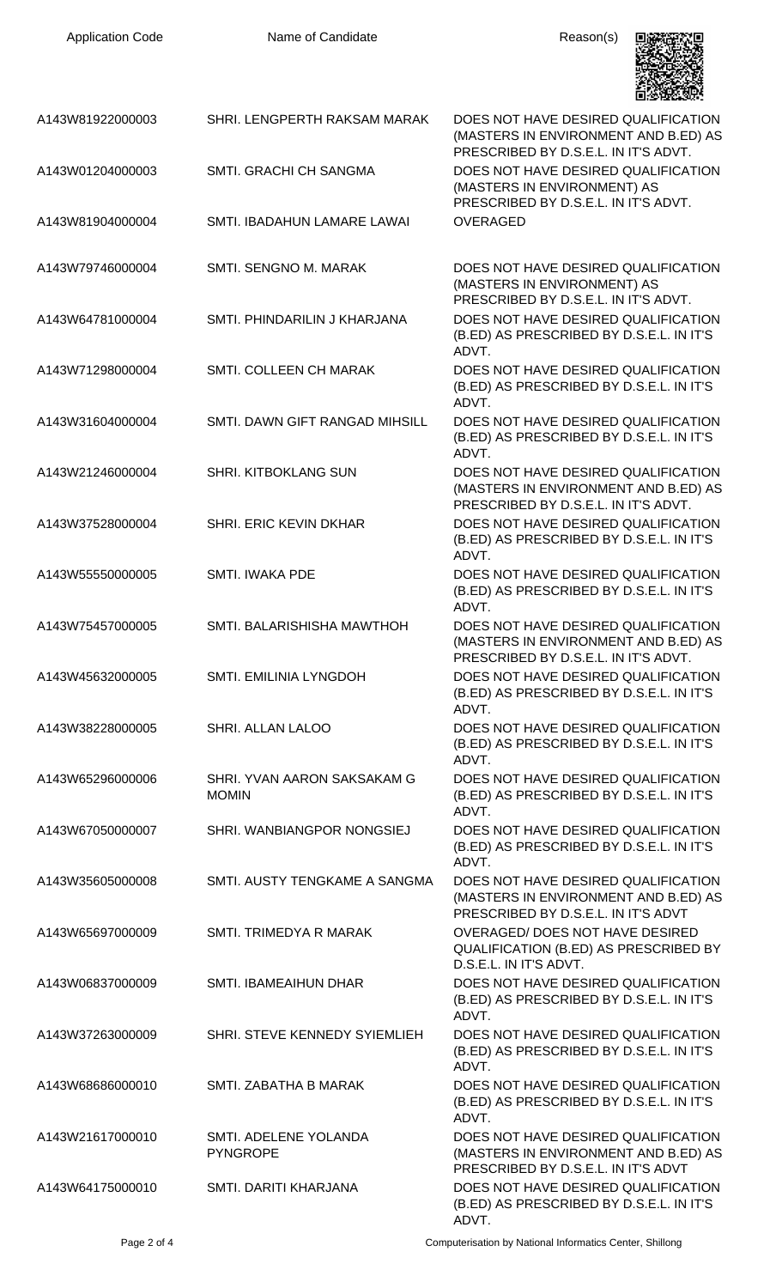| <b>Application Code</b> | Name of Candidate                           | Reason(s)                                                                                                           |
|-------------------------|---------------------------------------------|---------------------------------------------------------------------------------------------------------------------|
| A143W81922000003        | SHRI. LENGPERTH RAKSAM MARAK                | DOES NOT HAVE DESIRED QUALIFICATION<br>(MASTERS IN ENVIRONMENT AND B.ED) AS<br>PRESCRIBED BY D.S.E.L. IN IT'S ADVT. |
| A143W01204000003        | SMTI. GRACHI CH SANGMA                      | DOES NOT HAVE DESIRED QUALIFICATION<br>(MASTERS IN ENVIRONMENT) AS<br>PRESCRIBED BY D.S.E.L. IN IT'S ADVT.          |
| A143W81904000004        | SMTI. IBADAHUN LAMARE LAWAI                 | <b>OVERAGED</b>                                                                                                     |
| A143W79746000004        | SMTI. SENGNO M. MARAK                       | DOES NOT HAVE DESIRED QUALIFICATION<br>(MASTERS IN ENVIRONMENT) AS<br>PRESCRIBED BY D.S.E.L. IN IT'S ADVT.          |
| A143W64781000004        | SMTI. PHINDARILIN J KHARJANA                | DOES NOT HAVE DESIRED QUALIFICATION<br>(B.ED) AS PRESCRIBED BY D.S.E.L. IN IT'S<br>ADVT.                            |
| A143W71298000004        | SMTI. COLLEEN CH MARAK                      | DOES NOT HAVE DESIRED QUALIFICATION<br>(B.ED) AS PRESCRIBED BY D.S.E.L. IN IT'S<br>ADVT.                            |
| A143W31604000004        | SMTI. DAWN GIFT RANGAD MIHSILL              | DOES NOT HAVE DESIRED QUALIFICATION<br>(B.ED) AS PRESCRIBED BY D.S.E.L. IN IT'S<br>ADVT.                            |
| A143W21246000004        | SHRI. KITBOKLANG SUN                        | DOES NOT HAVE DESIRED QUALIFICATION<br>(MASTERS IN ENVIRONMENT AND B.ED) AS<br>PRESCRIBED BY D.S.E.L. IN IT'S ADVT. |
| A143W37528000004        | SHRI. ERIC KEVIN DKHAR                      | DOES NOT HAVE DESIRED QUALIFICATION<br>(B.ED) AS PRESCRIBED BY D.S.E.L. IN IT'S<br>ADVT.                            |
| A143W55550000005        | <b>SMTI. IWAKA PDE</b>                      | DOES NOT HAVE DESIRED QUALIFICATION<br>(B.ED) AS PRESCRIBED BY D.S.E.L. IN IT'S<br>ADVT.                            |
| A143W75457000005        | SMTI. BALARISHISHA MAWTHOH                  | DOES NOT HAVE DESIRED QUALIFICATION<br>(MASTERS IN ENVIRONMENT AND B.ED) AS<br>PRESCRIBED BY D.S.E.L. IN IT'S ADVT. |
| A143W45632000005        | <b>SMTI. EMILINIA LYNGDOH</b>               | DOES NOT HAVE DESIRED QUALIFICATION<br>(B.ED) AS PRESCRIBED BY D.S.E.L. IN IT'S<br>ADVT.                            |
| A143W38228000005        | <b>SHRI. ALLAN LALOO</b>                    | DOES NOT HAVE DESIRED QUALIFICATION<br>(B.ED) AS PRESCRIBED BY D.S.E.L. IN IT'S<br>ADVT.                            |
| A143W65296000006        | SHRI. YVAN AARON SAKSAKAM G<br><b>MOMIN</b> | DOES NOT HAVE DESIRED QUALIFICATION<br>(B.ED) AS PRESCRIBED BY D.S.E.L. IN IT'S<br>ADVT.                            |
| A143W67050000007        | SHRI. WANBIANGPOR NONGSIEJ                  | DOES NOT HAVE DESIRED QUALIFICATION<br>(B.ED) AS PRESCRIBED BY D.S.E.L. IN IT'S<br>ADVT.                            |
| A143W35605000008        | SMTI. AUSTY TENGKAME A SANGMA               | DOES NOT HAVE DESIRED QUALIFICATION<br>(MASTERS IN ENVIRONMENT AND B.ED) AS<br>PRESCRIBED BY D.S.E.L. IN IT'S ADVT  |
| A143W65697000009        | SMTI. TRIMEDYA R MARAK                      | OVERAGED/DOES NOT HAVE DESIRED<br>QUALIFICATION (B.ED) AS PRESCRIBED BY<br>D.S.E.L. IN IT'S ADVT.                   |
| A143W06837000009        | SMTI. IBAMEAIHUN DHAR                       | DOES NOT HAVE DESIRED QUALIFICATION<br>(B.ED) AS PRESCRIBED BY D.S.E.L. IN IT'S<br>ADVT.                            |
| A143W37263000009        | SHRI. STEVE KENNEDY SYIEMLIEH               | DOES NOT HAVE DESIRED QUALIFICATION<br>(B.ED) AS PRESCRIBED BY D.S.E.L. IN IT'S<br>ADVT.                            |
| A143W68686000010        | SMTI. ZABATHA B MARAK                       | DOES NOT HAVE DESIRED QUALIFICATION<br>(B.ED) AS PRESCRIBED BY D.S.E.L. IN IT'S<br>ADVT.                            |
| A143W21617000010        | SMTI. ADELENE YOLANDA<br><b>PYNGROPE</b>    | DOES NOT HAVE DESIRED QUALIFICATION<br>(MASTERS IN ENVIRONMENT AND B.ED) AS<br>PRESCRIBED BY D.S.E.L. IN IT'S ADVT  |
| A143W64175000010        | SMTI. DARITI KHARJANA                       | DOES NOT HAVE DESIRED QUALIFICATION<br>(B.ED) AS PRESCRIBED BY D.S.E.L. IN IT'S<br>ADVT.                            |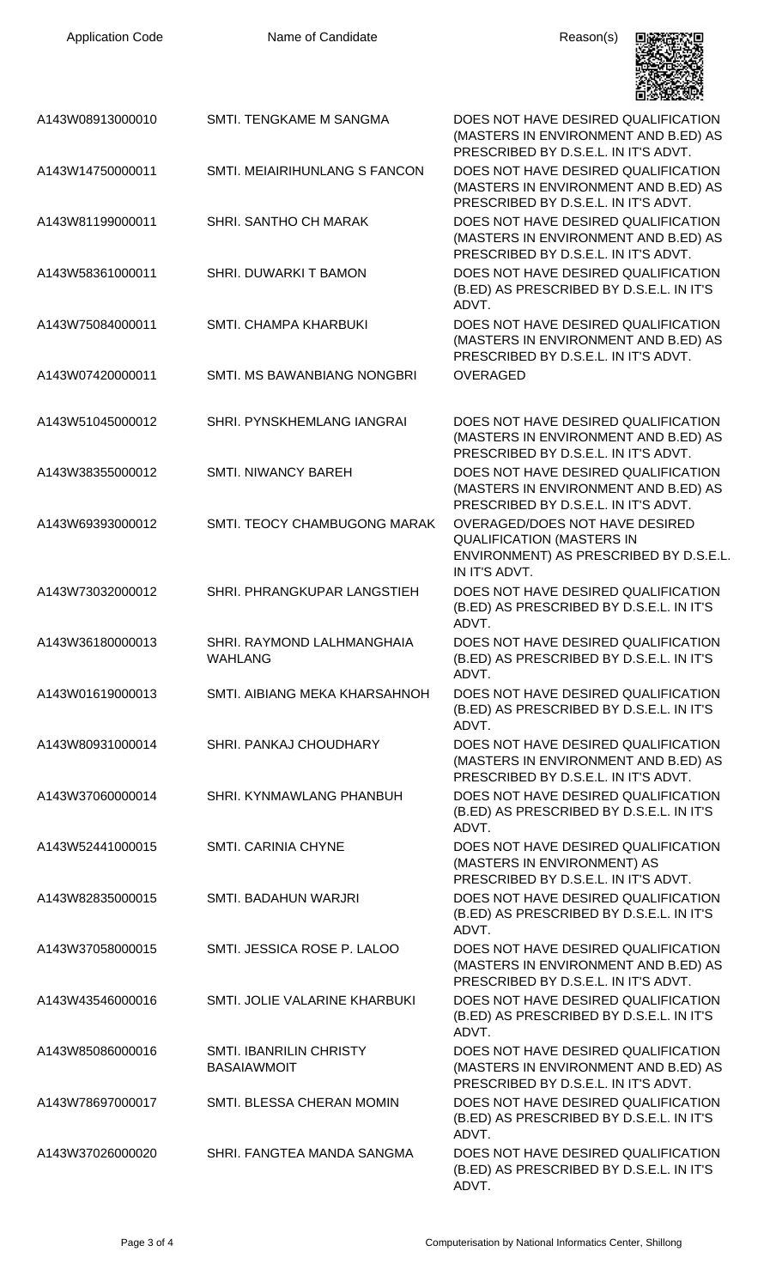| <b>Application Code</b> | Name of Candidate                                    | Reason(s)                                                                                                                     |
|-------------------------|------------------------------------------------------|-------------------------------------------------------------------------------------------------------------------------------|
| A143W08913000010        | SMTI. TENGKAME M SANGMA                              | DOES NOT HAVE DESIRED QUALIFICATION<br>(MASTERS IN ENVIRONMENT AND B.ED) AS<br>PRESCRIBED BY D.S.E.L. IN IT'S ADVT.           |
| A143W14750000011        | SMTI. MEIAIRIHUNLANG S FANCON                        | DOES NOT HAVE DESIRED QUALIFICATION<br>(MASTERS IN ENVIRONMENT AND B.ED) AS<br>PRESCRIBED BY D.S.E.L. IN IT'S ADVT.           |
| A143W81199000011        | SHRI. SANTHO CH MARAK                                | DOES NOT HAVE DESIRED QUALIFICATION<br>(MASTERS IN ENVIRONMENT AND B.ED) AS<br>PRESCRIBED BY D.S.E.L. IN IT'S ADVT.           |
| A143W58361000011        | SHRI. DUWARKI T BAMON                                | DOES NOT HAVE DESIRED QUALIFICATION<br>(B.ED) AS PRESCRIBED BY D.S.E.L. IN IT'S<br>ADVT.                                      |
| A143W75084000011        | <b>SMTI, CHAMPA KHARBUKI</b>                         | DOES NOT HAVE DESIRED QUALIFICATION<br>(MASTERS IN ENVIRONMENT AND B.ED) AS<br>PRESCRIBED BY D.S.E.L. IN IT'S ADVT.           |
| A143W07420000011        | SMTI. MS BAWANBIANG NONGBRI                          | <b>OVERAGED</b>                                                                                                               |
| A143W51045000012        | SHRI. PYNSKHEMLANG IANGRAI                           | DOES NOT HAVE DESIRED QUALIFICATION<br>(MASTERS IN ENVIRONMENT AND B.ED) AS<br>PRESCRIBED BY D.S.E.L. IN IT'S ADVT.           |
| A143W38355000012        | <b>SMTI. NIWANCY BAREH</b>                           | DOES NOT HAVE DESIRED QUALIFICATION<br>(MASTERS IN ENVIRONMENT AND B.ED) AS<br>PRESCRIBED BY D.S.E.L. IN IT'S ADVT.           |
| A143W69393000012        | SMTI. TEOCY CHAMBUGONG MARAK                         | OVERAGED/DOES NOT HAVE DESIRED<br><b>QUALIFICATION (MASTERS IN</b><br>ENVIRONMENT) AS PRESCRIBED BY D.S.E.L.<br>IN IT'S ADVT. |
| A143W73032000012        | SHRI. PHRANGKUPAR LANGSTIEH                          | DOES NOT HAVE DESIRED QUALIFICATION<br>(B.ED) AS PRESCRIBED BY D.S.E.L. IN IT'S<br>ADVT.                                      |
| A143W36180000013        | SHRI. RAYMOND LALHMANGHAIA<br><b>WAHLANG</b>         | DOES NOT HAVE DESIRED QUALIFICATION<br>(B.ED) AS PRESCRIBED BY D.S.E.L. IN IT'S<br>ADVT.                                      |
| A143W01619000013        | SMTI. AIBIANG MEKA KHARSAHNOH                        | DOES NOT HAVE DESIRED QUALIFICATION<br>(B.ED) AS PRESCRIBED BY D.S.E.L. IN IT'S<br>ADVT.                                      |
| A143W80931000014        | SHRI. PANKAJ CHOUDHARY                               | DOES NOT HAVE DESIRED QUALIFICATION<br>(MASTERS IN ENVIRONMENT AND B.ED) AS<br>PRESCRIBED BY D.S.E.L. IN IT'S ADVT.           |
| A143W37060000014        | SHRI, KYNMAWLANG PHANBUH                             | DOES NOT HAVE DESIRED QUALIFICATION<br>(B.ED) AS PRESCRIBED BY D.S.E.L. IN IT'S<br>ADVT.                                      |
| A143W52441000015        | <b>SMTI, CARINIA CHYNE</b>                           | DOES NOT HAVE DESIRED QUALIFICATION<br>(MASTERS IN ENVIRONMENT) AS<br>PRESCRIBED BY D.S.E.L. IN IT'S ADVT.                    |
| A143W82835000015        | SMTI. BADAHUN WARJRI                                 | DOES NOT HAVE DESIRED QUALIFICATION<br>(B.ED) AS PRESCRIBED BY D.S.E.L. IN IT'S<br>ADVT.                                      |
| A143W37058000015        | SMTI. JESSICA ROSE P. LALOO                          | DOES NOT HAVE DESIRED QUALIFICATION<br>(MASTERS IN ENVIRONMENT AND B.ED) AS<br>PRESCRIBED BY D.S.E.L. IN IT'S ADVT.           |
| A143W43546000016        | SMTI. JOLIE VALARINE KHARBUKI                        | DOES NOT HAVE DESIRED QUALIFICATION<br>(B.ED) AS PRESCRIBED BY D.S.E.L. IN IT'S<br>ADVT.                                      |
| A143W85086000016        | <b>SMTI. IBANRILIN CHRISTY</b><br><b>BASAIAWMOIT</b> | DOES NOT HAVE DESIRED QUALIFICATION<br>(MASTERS IN ENVIRONMENT AND B.ED) AS<br>PRESCRIBED BY D.S.E.L. IN IT'S ADVT.           |
| A143W78697000017        | SMTI. BLESSA CHERAN MOMIN                            | DOES NOT HAVE DESIRED QUALIFICATION<br>(B.ED) AS PRESCRIBED BY D.S.E.L. IN IT'S<br>ADVT.                                      |
| A143W37026000020        | SHRI. FANGTEA MANDA SANGMA                           | DOES NOT HAVE DESIRED QUALIFICATION<br>(B.ED) AS PRESCRIBED BY D.S.E.L. IN IT'S<br>ADVT.                                      |